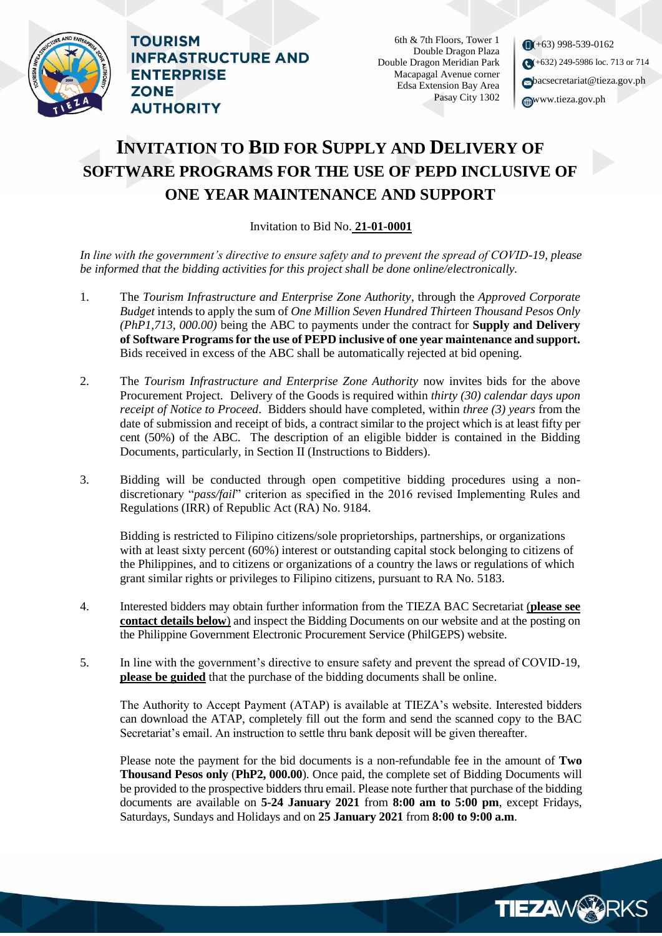

**TOURISM INFRASTRUCTURE AND ENTERPRISE ZONE AUTHORITY** 

6th & 7th Floors, Tower 1 Double Dragon Plaza Double Dragon Meridian Park Macapagal Avenue corner Edsa Extension Bay Area Pasay City 1302

 $($ <del> $\bullet$ (+63)</del> 998-539-0162 (+632) 249-5986 loc. 713 or 714 bacsecretariat@tieza.gov.ph www.tieza.gov.ph

## **INVITATION TO BID FOR SUPPLY AND DELIVERY OF SOFTWARE PROGRAMS FOR THE USE OF PEPD INCLUSIVE OF ONE YEAR MAINTENANCE AND SUPPORT**

Invitation to Bid No. **21-01-0001**

*In line with the government's directive to ensure safety and to prevent the spread of COVID-19, please be informed that the bidding activities for this project shall be done online/electronically.*

- 1. The *Tourism Infrastructure and Enterprise Zone Authority*, through the *Approved Corporate Budget* intends to apply the sum of *One Million Seven Hundred Thirteen Thousand Pesos Only (PhP1,713, 000.00)* being the ABC to payments under the contract for **Supply and Delivery of Software Programs for the use of PEPD inclusive of one year maintenance and support.** Bids received in excess of the ABC shall be automatically rejected at bid opening.
- 2. The *Tourism Infrastructure and Enterprise Zone Authority* now invites bids for the above Procurement Project. Delivery of the Goods is required within *thirty (30) calendar days upon receipt of Notice to Proceed*. Bidders should have completed, within *three (3) years* from the date of submission and receipt of bids, a contract similar to the project which is at least fifty per cent (50%) of the ABC. The description of an eligible bidder is contained in the Bidding Documents, particularly, in Section II (Instructions to Bidders).
- 3. Bidding will be conducted through open competitive bidding procedures using a nondiscretionary "*pass/fail*" criterion as specified in the 2016 revised Implementing Rules and Regulations (IRR) of Republic Act (RA) No. 9184.

Bidding is restricted to Filipino citizens/sole proprietorships, partnerships, or organizations with at least sixty percent (60%) interest or outstanding capital stock belonging to citizens of the Philippines, and to citizens or organizations of a country the laws or regulations of which grant similar rights or privileges to Filipino citizens, pursuant to RA No. 5183.

- 4. Interested bidders may obtain further information from the TIEZA BAC Secretariat (**please see contact details below**) and inspect the Bidding Documents on our website and at the posting on the Philippine Government Electronic Procurement Service (PhilGEPS) website.
- 5. In line with the government's directive to ensure safety and prevent the spread of COVID-19, **please be guided** that the purchase of the bidding documents shall be online.

The Authority to Accept Payment (ATAP) is available at TIEZA's website. Interested bidders can download the ATAP, completely fill out the form and send the scanned copy to the BAC Secretariat's email. An instruction to settle thru bank deposit will be given thereafter.

Please note the payment for the bid documents is a non-refundable fee in the amount of **Two Thousand Pesos only** (**PhP2, 000.00**). Once paid, the complete set of Bidding Documents will be provided to the prospective bidders thru email. Please note further that purchase of the bidding documents are available on **5-24 January 2021** from **8:00 am to 5:00 pm**, except Fridays, Saturdays, Sundays and Holidays and on **25 January 2021** from **8:00 to 9:00 a.m**.

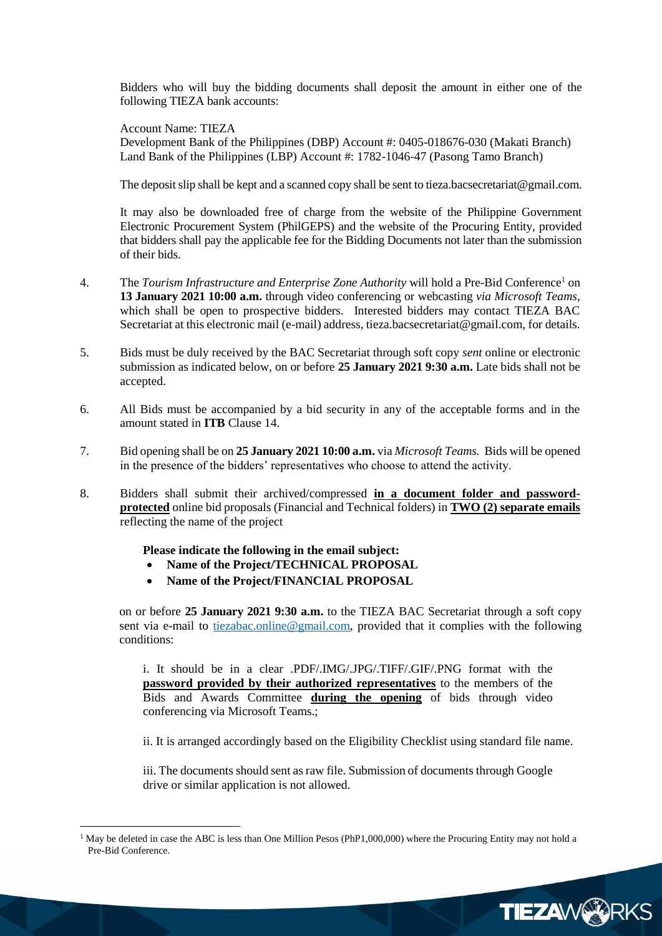Bidders who will buy the bidding documents shall deposit the amount in either one of the following TIEZA bank accounts:

Account Name: TIEZA Development Bank of the Philippines (DBP) Account #: 0405-018676-030 (Makati Branch) Land Bank of the Philippines (LBP) Account #: 1782-1046-47 (Pasong Tamo Branch)

The deposit slip shall be kept and a scanned copy shall be sent to tieza.bacsecretariat@gmail.com.

It may also be downloaded free of charge from the website of the Philippine Government Electronic Procurement System (PhilGEPS) and the website of the Procuring Entity*,* provided that bidders shall pay the applicable fee for the Bidding Documents not later than the submission of their bids.

- 4. The *Tourism Infrastructure and Enterprise Zone Authority* will hold a Pre-Bid Conference<sup>1</sup> on **13 January 2021 10:00 a.m.** through video conferencing or webcasting *via Microsoft Teams,*  which shall be open to prospective bidders. Interested bidders may contact TIEZA BAC Secretariat at this electronic mail (e-mail) address, tieza.bacsecretariat@gmail.com, for details.
- 5. Bids must be duly received by the BAC Secretariat through soft copy *sent* online or electronic submission as indicated below, on or before **25 January 2021 9:30 a.m.** Late bids shall not be accepted.
- 6. All Bids must be accompanied by a bid security in any of the acceptable forms and in the amount stated in **ITB** Clause 14.
- 7. Bid opening shall be on **25 January 2021 10:00 a.m.** via *Microsoft Teams.* Bids will be opened in the presence of the bidders' representatives who choose to attend the activity.
- 8. Bidders shall submit their archived/compressed **in a document folder and passwordprotected** online bid proposals (Financial and Technical folders) in **TWO (2) separate emails** reflecting the name of the project

## **Please indicate the following in the email subject:**

1

- **Name of the Project/TECHNICAL PROPOSAL**
- **Name of the Project/FINANCIAL PROPOSAL**

on or before **25 January 2021 9:30 a.m.** to the TIEZA BAC Secretariat through a soft copy sent via e-mail to [tiezabac.online@gmail.com,](mailto:tiezabac.online@gmail.com) provided that it complies with the following conditions:

i. It should be in a clear .PDF/.IMG/.JPG/.TIFF/.GIF/.PNG format with the **password provided by their authorized representatives** to the members of the Bids and Awards Committee **during the opening** of bids through video conferencing via Microsoft Teams.;

ii. It is arranged accordingly based on the Eligibility Checklist using standard file name.

**TIEZAW@RKS** 

iii. The documents should sent as raw file. Submission of documents through Google drive or similar application is not allowed.

<sup>&</sup>lt;sup>1</sup> May be deleted in case the ABC is less than One Million Pesos (PhP1,000,000) where the Procuring Entity may not hold a Pre-Bid Conference.